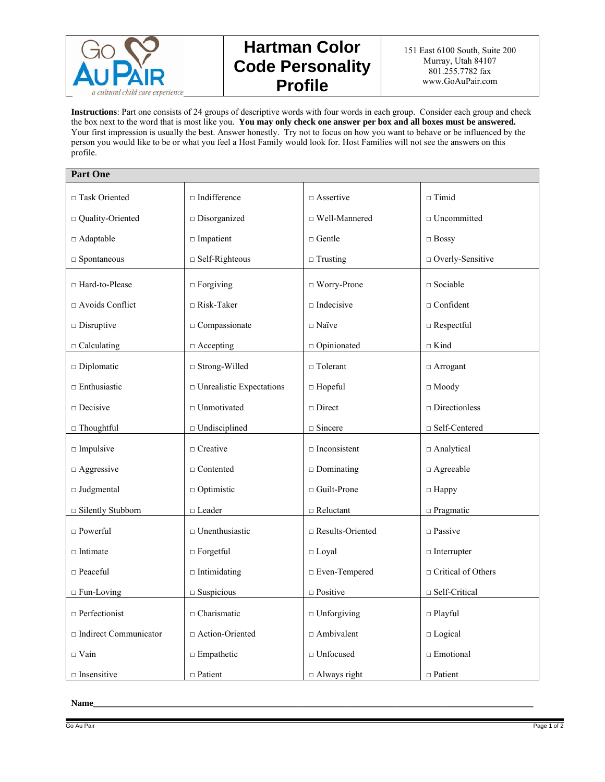

## **Hartman Color Code Personality Profile**

**Instructions**: Part one consists of 24 groups of descriptive words with four words in each group. Consider each group and check the box next to the word that is most like you. **You may only check one answer per box and all boxes must be answered.** Your first impression is usually the best. Answer honestly. Try not to focus on how you want to behave or be influenced by the person you would like to be or what you feel a Host Family would look for. Host Families will not see the answers on this profile.

| <b>Part One</b>              |                                        |                                          |                             |
|------------------------------|----------------------------------------|------------------------------------------|-----------------------------|
| □ Task Oriented              | $\square$ Indifference                 | $\Box$ Assertive                         | $\Box$ Timid                |
| □ Quality-Oriented           | $\square$ Disorganized                 | $\Box$ Well-Mannered                     | $\Box$ Uncommitted          |
| □ Adaptable                  | $\square$ Impatient                    | $\Box$ Gentle                            | $\Box$ Bossy                |
| $\Box$ Spontaneous           | $\Box$ Self-Righteous                  | $\Box$ Trusting                          | □ Overly-Sensitive          |
| □ Hard-to-Please             | $\Box$ Forgiving                       | $\Box$ Worry-Prone                       | $\square$ Sociable          |
| $\Box$ Avoids Conflict       | $\Box$ Risk-Taker                      | $\Box$ Indecisive                        | $\Box$ Confident            |
| $\square$ Disruptive         | $\Box$ Compassionate                   | $\Box$ Naïve                             | $\Box$ Respectful           |
| $\Box$ Calculating           | $\Box$ Accepting                       | <sup><math>\Box</math></sup> Opinionated | $\Box$ Kind                 |
| $\square$ Diplomatic         | $\Box$ Strong-Willed                   | $\Box$ Tolerant                          | $\Box$ Arrogant             |
| $\Box$ Enthusiastic          | $\hfill \Box$ Unrealistic Expectations | $\Box$ Hopeful                           | $\Box$ Moody                |
| $\Box$ Decisive              | $\Box$ Unmotivated                     | $\sqcap$ Direct                          | $\square$ Directionless     |
| $\Box$ Thoughtful            | $\Box$ Undisciplined                   | $\Box$ Sincere                           | $\Box$ Self-Centered        |
| $\square$ Impulsive          | $\Box$ Creative                        | $\square$ Inconsistent                   | □ Analytical                |
| $\Box$ Aggressive            | $\Box$ Contented                       | $\Box$ Dominating                        | $\Box$ Agreeable            |
| $\Box$ Judgmental            | $\Box$ Optimistic                      | $\Box$ Guilt-Prone                       | $\Box$ Happy                |
| □ Silently Stubborn          | $\hfill \Box$<br>Leader                | $\Box$ Reluctant                         | $\square$ Pragmatic         |
| $\Box$ Powerful              | $\Box$ Unenthusiastic                  | $\Box$ Results-Oriented                  | $\square$ Passive           |
| $\Box$ Intimate              | $\Box$ Forgetful                       | $\Box$ Loyal                             | $\Box$ Interrupter          |
| $\Box$ Peaceful              | $\Box$ Intimidating                    | $\Box$ Even-Tempered                     | $\Box$ Critical of Others   |
| $\Box$ Fun-Loving            | $\square$ Suspicious                   | $\hfill \Box$<br>Positive                | $\hfill \Box$ Self-Critical |
| $\Box$ Perfectionist         | $\Box$ Charismatic                     | $\Box$ Unforgiving                       | $\Box$ Playful              |
| $\Box$ Indirect Communicator | □ Action-Oriented                      | $\Box$ Ambivalent                        | $\square$ Logical           |
| $\Box$ Vain                  | $\Box$ Empathetic                      | $\square$ Unfocused                      | $\Box$ Emotional            |
| $\square$ Insensitive        | $\Box$ Patient                         | $\Box$ Always right                      | $\Box$ Patient              |

## **Name\_\_\_\_\_\_\_\_\_\_\_\_\_\_\_\_\_\_\_\_\_\_\_\_\_\_\_\_\_\_\_\_\_\_\_\_\_\_\_\_\_\_\_\_\_\_\_\_\_\_\_\_\_\_\_\_\_\_\_\_\_\_\_\_\_\_\_\_\_\_\_\_\_\_\_\_\_\_\_\_\_\_\_\_\_\_\_\_\_\_\_\_\_\_\_\_\_\_\_**